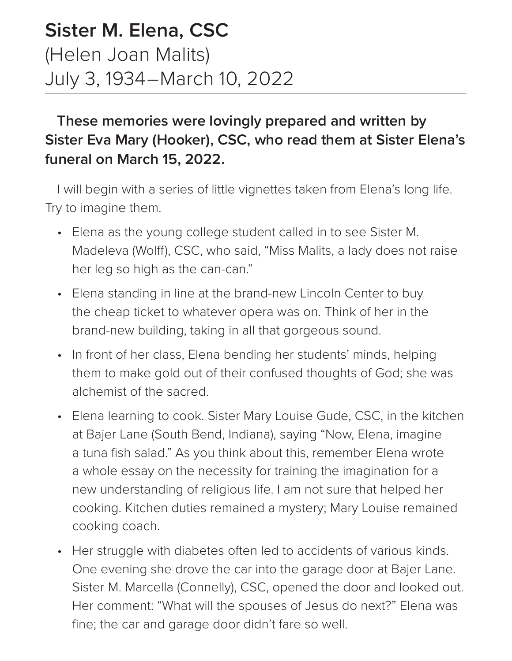## **Sister M. Elena, CSC** (Helen Joan Malits) July 3, 1934–March 10, 2022

## **These memories were lovingly prepared and written by Sister Eva Mary (Hooker), CSC, who read them at Sister Elena's funeral on March 15, 2022.**

I will begin with a series of little vignettes taken from Elena's long life. Try to imagine them.

- Elena as the young college student called in to see Sister M. Madeleva (Wolff), CSC, who said, "Miss Malits, a lady does not raise her leg so high as the can-can."
- Elena standing in line at the brand-new Lincoln Center to buy the cheap ticket to whatever opera was on. Think of her in the brand-new building, taking in all that gorgeous sound.
- In front of her class, Elena bending her students' minds, helping them to make gold out of their confused thoughts of God; she was alchemist of the sacred.
- Elena learning to cook. Sister Mary Louise Gude, CSC, in the kitchen at Bajer Lane (South Bend, Indiana), saying "Now, Elena, imagine a tuna fish salad." As you think about this, remember Elena wrote a whole essay on the necessity for training the imagination for a new understanding of religious life. I am not sure that helped her cooking. Kitchen duties remained a mystery; Mary Louise remained cooking coach.
- Her struggle with diabetes often led to accidents of various kinds. One evening she drove the car into the garage door at Bajer Lane. Sister M. Marcella (Connelly), CSC, opened the door and looked out. Her comment: "What will the spouses of Jesus do next?" Elena was fine; the car and garage door didn't fare so well.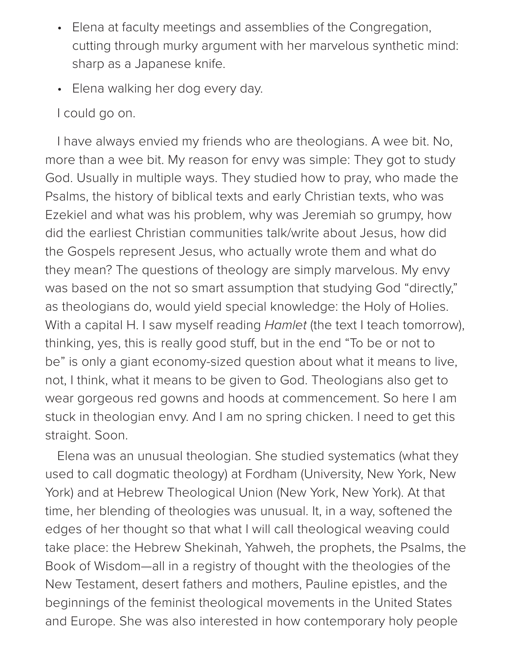- Elena at faculty meetings and assemblies of the Congregation, cutting through murky argument with her marvelous synthetic mind: sharp as a Japanese knife.
- Elena walking her dog every day.
- I could go on.

I have always envied my friends who are theologians. A wee bit. No, more than a wee bit. My reason for envy was simple: They got to study God. Usually in multiple ways. They studied how to pray, who made the Psalms, the history of biblical texts and early Christian texts, who was Ezekiel and what was his problem, why was Jeremiah so grumpy, how did the earliest Christian communities talk/write about Jesus, how did the Gospels represent Jesus, who actually wrote them and what do they mean? The questions of theology are simply marvelous. My envy was based on the not so smart assumption that studying God "directly," as theologians do, would yield special knowledge: the Holy of Holies. With a capital H. I saw myself reading *Hamlet* (the text I teach tomorrow), thinking, yes, this is really good stuff, but in the end "To be or not to be" is only a giant economy-sized question about what it means to live, not, I think, what it means to be given to God. Theologians also get to wear gorgeous red gowns and hoods at commencement. So here I am stuck in theologian envy. And I am no spring chicken. I need to get this straight. Soon.

Elena was an unusual theologian. She studied systematics (what they used to call dogmatic theology) at Fordham (University, New York, New York) and at Hebrew Theological Union (New York, New York). At that time, her blending of theologies was unusual. It, in a way, softened the edges of her thought so that what I will call theological weaving could take place: the Hebrew Shekinah, Yahweh, the prophets, the Psalms, the Book of Wisdom—all in a registry of thought with the theologies of the New Testament, desert fathers and mothers, Pauline epistles, and the beginnings of the feminist theological movements in the United States and Europe. She was also interested in how contemporary holy people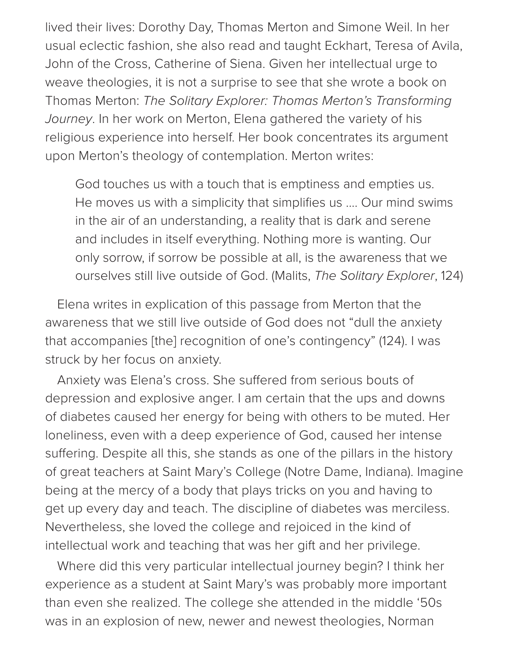lived their lives: Dorothy Day, Thomas Merton and Simone Weil. In her usual eclectic fashion, she also read and taught Eckhart, Teresa of Avila, John of the Cross, Catherine of Siena. Given her intellectual urge to weave theologies, it is not a surprise to see that she wrote a book on Thomas Merton: *The Solitary Explorer: Thomas Merton's Transforming Journey*. In her work on Merton, Elena gathered the variety of his religious experience into herself. Her book concentrates its argument upon Merton's theology of contemplation. Merton writes:

God touches us with a touch that is emptiness and empties us. He moves us with a simplicity that simplifies us .... Our mind swims in the air of an understanding, a reality that is dark and serene and includes in itself everything. Nothing more is wanting. Our only sorrow, if sorrow be possible at all, is the awareness that we ourselves still live outside of God. (Malits, *The Solitary Explorer*, 124)

Elena writes in explication of this passage from Merton that the awareness that we still live outside of God does not "dull the anxiety that accompanies [the] recognition of one's contingency" (124). I was struck by her focus on anxiety.

Anxiety was Elena's cross. She suffered from serious bouts of depression and explosive anger. I am certain that the ups and downs of diabetes caused her energy for being with others to be muted. Her loneliness, even with a deep experience of God, caused her intense suffering. Despite all this, she stands as one of the pillars in the history of great teachers at Saint Mary's College (Notre Dame, Indiana). Imagine being at the mercy of a body that plays tricks on you and having to get up every day and teach. The discipline of diabetes was merciless. Nevertheless, she loved the college and rejoiced in the kind of intellectual work and teaching that was her gift and her privilege.

Where did this very particular intellectual journey begin? I think her experience as a student at Saint Mary's was probably more important than even she realized. The college she attended in the middle '50s was in an explosion of new, newer and newest theologies, Norman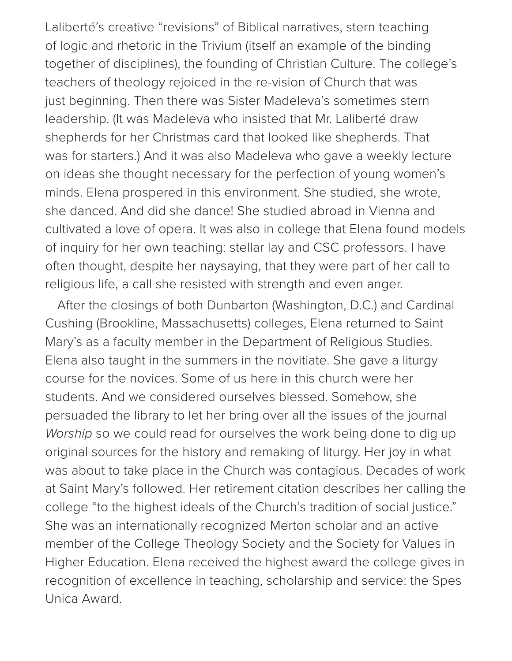Laliberté's creative "revisions" of Biblical narratives, stern teaching of logic and rhetoric in the Trivium (itself an example of the binding together of disciplines), the founding of Christian Culture. The college's teachers of theology rejoiced in the re-vision of Church that was just beginning. Then there was Sister Madeleva's sometimes stern leadership. (It was Madeleva who insisted that Mr. Laliberté draw shepherds for her Christmas card that looked like shepherds. That was for starters.) And it was also Madeleva who gave a weekly lecture on ideas she thought necessary for the perfection of young women's minds. Elena prospered in this environment. She studied, she wrote, she danced. And did she dance! She studied abroad in Vienna and cultivated a love of opera. It was also in college that Elena found models of inquiry for her own teaching: stellar lay and CSC professors. I have often thought, despite her naysaying, that they were part of her call to religious life, a call she resisted with strength and even anger.

After the closings of both Dunbarton (Washington, D.C.) and Cardinal Cushing (Brookline, Massachusetts) colleges, Elena returned to Saint Mary's as a faculty member in the Department of Religious Studies. Elena also taught in the summers in the novitiate. She gave a liturgy course for the novices. Some of us here in this church were her students. And we considered ourselves blessed. Somehow, she persuaded the library to let her bring over all the issues of the journal *Worship* so we could read for ourselves the work being done to dig up original sources for the history and remaking of liturgy. Her joy in what was about to take place in the Church was contagious. Decades of work at Saint Mary's followed. Her retirement citation describes her calling the college "to the highest ideals of the Church's tradition of social justice." She was an internationally recognized Merton scholar and an active member of the College Theology Society and the Society for Values in Higher Education. Elena received the highest award the college gives in recognition of excellence in teaching, scholarship and service: the Spes Unica Award.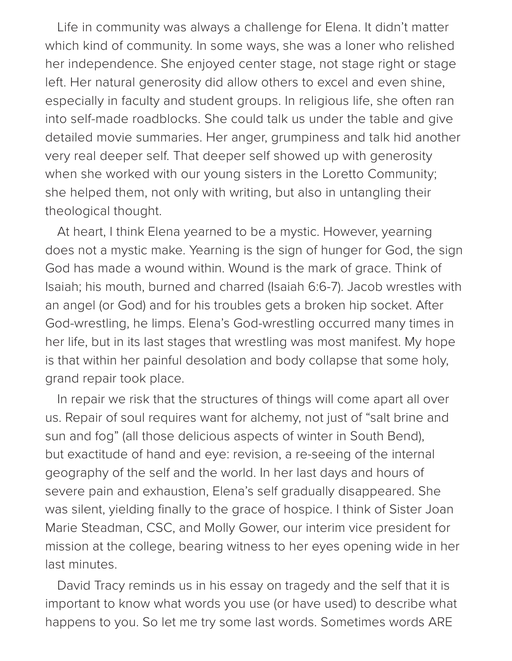Life in community was always a challenge for Elena. It didn't matter which kind of community. In some ways, she was a loner who relished her independence. She enjoyed center stage, not stage right or stage left. Her natural generosity did allow others to excel and even shine, especially in faculty and student groups. In religious life, she often ran into self-made roadblocks. She could talk us under the table and give detailed movie summaries. Her anger, grumpiness and talk hid another very real deeper self. That deeper self showed up with generosity when she worked with our young sisters in the Loretto Community; she helped them, not only with writing, but also in untangling their theological thought.

At heart, I think Elena yearned to be a mystic. However, yearning does not a mystic make. Yearning is the sign of hunger for God, the sign God has made a wound within. Wound is the mark of grace. Think of Isaiah; his mouth, burned and charred (Isaiah 6:6-7). Jacob wrestles with an angel (or God) and for his troubles gets a broken hip socket. After God-wrestling, he limps. Elena's God-wrestling occurred many times in her life, but in its last stages that wrestling was most manifest. My hope is that within her painful desolation and body collapse that some holy, grand repair took place.

In repair we risk that the structures of things will come apart all over us. Repair of soul requires want for alchemy, not just of "salt brine and sun and fog" (all those delicious aspects of winter in South Bend), but exactitude of hand and eye: revision, a re-seeing of the internal geography of the self and the world. In her last days and hours of severe pain and exhaustion, Elena's self gradually disappeared. She was silent, yielding finally to the grace of hospice. I think of Sister Joan Marie Steadman, CSC, and Molly Gower, our interim vice president for mission at the college, bearing witness to her eyes opening wide in her last minutes.

David Tracy reminds us in his essay on tragedy and the self that it is important to know what words you use (or have used) to describe what happens to you. So let me try some last words. Sometimes words ARE